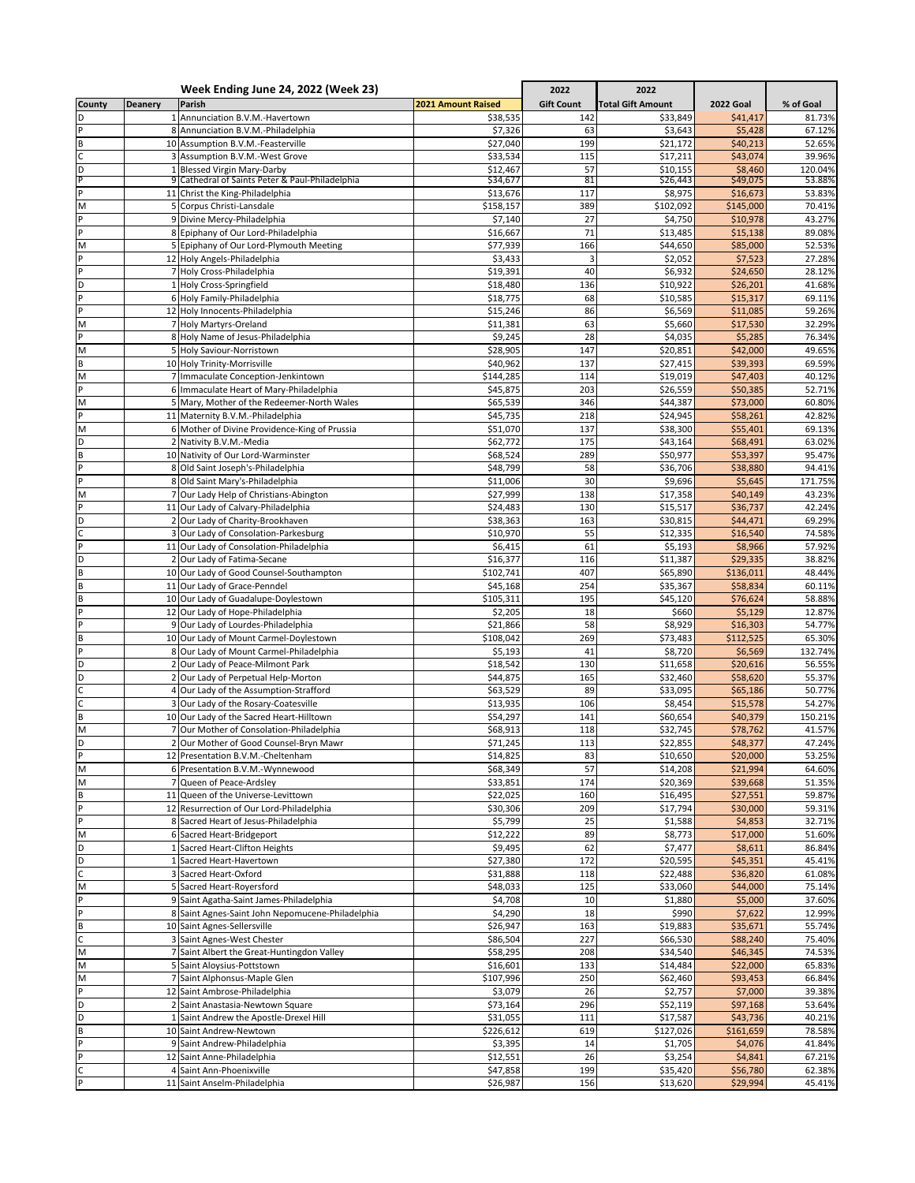|                |                | Week Ending June 24, 2022 (Week 23)                                            |                           | 2022              | 2022                     |                       |                  |
|----------------|----------------|--------------------------------------------------------------------------------|---------------------------|-------------------|--------------------------|-----------------------|------------------|
| County         | <b>Deanery</b> | Parish                                                                         | <b>2021 Amount Raised</b> | <b>Gift Count</b> | <b>Total Gift Amount</b> | <b>2022 Goal</b>      | % of Goal        |
| D              |                | 1 Annunciation B.V.M.-Havertown                                                | \$38,535                  | 142               | \$33,849                 | \$41,417              | 81.73%           |
| P              |                | 8 Annunciation B.V.M.-Philadelphia                                             | \$7,326                   | 63                | \$3,643                  | \$5,428               | 67.12%           |
| B              |                | 10 Assumption B.V.M.-Feasterville                                              | \$27,040                  | 199               | \$21,172                 | \$40,213              | 52.65%           |
| c              |                | 3 Assumption B.V.M.-West Grove                                                 | \$33,534                  | 115               | \$17,211                 | \$43,074              | 39.96%           |
| D<br>P         |                | 1 Blessed Virgin Mary-Darby<br>9 Cathedral of Saints Peter & Paul-Philadelphia | \$12,467                  | 57<br>81          | \$10,155                 | \$8,460<br>\$49,075   | 120.04%          |
| P              |                | 11 Christ the King-Philadelphia                                                | \$34,677<br>\$13,676      | 117               | \$26,443<br>\$8,975      | \$16,673              | 53.88%<br>53.83% |
| M              |                | 5 Corpus Christi-Lansdale                                                      | \$158,157                 | 389               | \$102,092                | \$145,000             | 70.41%           |
| P              |                | 9 Divine Mercy-Philadelphia                                                    | \$7,140                   | 27                | \$4,750                  | \$10,978              | 43.27%           |
| P              |                | 8 Epiphany of Our Lord-Philadelphia                                            | \$16,667                  | 71                | \$13,485                 | \$15,138              | 89.08%           |
| M              |                | 5 Epiphany of Our Lord-Plymouth Meeting                                        | \$77,939                  | 166               | \$44,650                 | \$85,000              | 52.53%           |
| P              |                | 12 Holy Angels-Philadelphia                                                    | \$3,433                   | 3                 | \$2,052                  | \$7,523               | 27.28%           |
| P              |                | 7 Holy Cross-Philadelphia                                                      | \$19,391                  | 40                | \$6,932                  | \$24,650              | 28.12%           |
| D              |                | 1 Holy Cross-Springfield                                                       | \$18,480                  | 136               | \$10,922                 | \$26,201              | 41.68%           |
| P              |                | 6 Holy Family-Philadelphia                                                     | \$18,775                  | 68                | \$10,585                 | \$15,317              | 69.11%           |
| $\overline{P}$ |                | 12 Holy Innocents-Philadelphia                                                 | \$15,246                  | 86                | \$6,569                  | \$11,085              | 59.26%           |
| M              |                | 7 Holy Martyrs-Oreland                                                         | \$11,381                  | 63                | \$5,660                  | \$17,530              | 32.29%           |
| P              |                | 8 Holy Name of Jesus-Philadelphia                                              | \$9,245                   | 28                | \$4,035                  | \$5,285               | 76.34%           |
| M              |                | 5 Holy Saviour-Norristown                                                      | \$28,905                  | 147               | \$20,851                 | \$42,000              | 49.65%           |
| $\sf{B}$       |                | 10 Holy Trinity-Morrisville                                                    | \$40,962                  | 137               | \$27,415                 | \$39,393              | 69.59%           |
| M<br>P         |                | 7 Immaculate Conception-Jenkintown<br>6 Immaculate Heart of Mary-Philadelphia  | \$144,285<br>\$45,875     | 114<br>203        | \$19,019<br>\$26,559     | \$47,403<br>\$50,385  | 40.12%<br>52.71% |
| M              |                | 5 Mary, Mother of the Redeemer-North Wales                                     |                           | 346               | \$44,387                 |                       | 60.80%           |
| P              |                | 11 Maternity B.V.M.-Philadelphia                                               | \$65,539<br>\$45,735      | 218               | \$24,945                 | \$73,000<br>\$58,261  | 42.82%           |
| M              |                | 6 Mother of Divine Providence-King of Prussia                                  | \$51,070                  | 137               | \$38,300                 | \$55,401              | 69.13%           |
| D              |                | 2 Nativity B.V.M.-Media                                                        | \$62,772                  | 175               | \$43,164                 | \$68,491              | 63.02%           |
| $\sf{B}$       |                | 10 Nativity of Our Lord-Warminster                                             | \$68,524                  | 289               | \$50,977                 | \$53,397              | 95.47%           |
| $\overline{P}$ |                | 8 Old Saint Joseph's-Philadelphia                                              | \$48,799                  | 58                | \$36,706                 | \$38,880              | 94.41%           |
| P              |                | 8 Old Saint Mary's-Philadelphia                                                | \$11,006                  | 30                | \$9,696                  | \$5,645               | 171.75%          |
| M              |                | 7 Our Lady Help of Christians-Abington                                         | \$27,999                  | 138               | \$17,358                 | \$40,149              | 43.23%           |
| P              |                | 11 Our Lady of Calvary-Philadelphia                                            | \$24,483                  | 130               | \$15,517                 | \$36,737              | 42.24%           |
| D              |                | 2 Our Lady of Charity-Brookhaven                                               | \$38,363                  | 163               | \$30,815                 | \$44,471              | 69.29%           |
| C              |                | 3 Our Lady of Consolation-Parkesburg                                           | \$10,970                  | 55                | \$12,335                 | \$16,540              | 74.58%           |
| P              |                | 11 Our Lady of Consolation-Philadelphia                                        | \$6,415                   | 61                | \$5,193                  | \$8,966               | 57.92%           |
| D              |                | 2 Our Lady of Fatima-Secane                                                    | \$16,377                  | 116               | \$11,387                 | \$29,335              | 38.82%           |
| $\sf{B}$       |                | 10 Our Lady of Good Counsel-Southampton                                        | \$102,741                 | 407               | \$65,890                 | \$136,011             | 48.44%           |
| B              |                | 11 Our Lady of Grace-Penndel                                                   | \$45,168                  | 254               | \$35,367                 | \$58,834              | 60.11%           |
| $\sf{B}$       |                | 10 Our Lady of Guadalupe-Doylestown                                            | \$105,311                 | 195               | \$45,120                 | \$76,624              | 58.88%           |
| P<br>p         |                | 12 Our Lady of Hope-Philadelphia                                               | \$2,205                   | 18<br>58          | \$660                    | \$5,129               | 12.87%<br>54.77% |
| B              |                | 9 Our Lady of Lourdes-Philadelphia<br>10 Our Lady of Mount Carmel-Doylestown   | \$21,866<br>\$108,042     | 269               | \$8,929<br>\$73,483      | \$16,303<br>\$112,525 | 65.30%           |
| P              |                | 8 Our Lady of Mount Carmel-Philadelphia                                        | \$5,193                   | 41                | \$8,720                  | \$6,569               | 132.74%          |
| D              |                | 2 Our Lady of Peace-Milmont Park                                               | \$18,542                  | 130               | \$11,658                 | \$20,616              | 56.55%           |
| D              |                | 2 Our Lady of Perpetual Help-Morton                                            | \$44,875                  | 165               | \$32,460                 | \$58,620              | 55.37%           |
| $\mathsf C$    |                | 4 Our Lady of the Assumption-Strafford                                         | \$63,529                  | 89                | \$33,095                 | \$65,186              | 50.77%           |
| $\mathsf C$    |                | 3 Our Lady of the Rosary-Coatesville                                           | \$13,935                  | 106               | \$8,454                  | \$15,578              | 54.27%           |
| $\sf{B}$       |                | 10 Our Lady of the Sacred Heart-Hilltown                                       | \$54,297                  | 141               | \$60,654                 | \$40,379              | 150.21%          |
| M              |                | 7 Our Mother of Consolation-Philadelphia                                       | \$68,913                  | 118               | \$32,745                 | \$78,762              | 41.57%           |
| D              |                | 2 Our Mother of Good Counsel-Bryn Mawr                                         | \$71,245                  | 113               | \$22,855                 | \$48,377              | 47.24%           |
| $\mathsf{P}$   |                | 12 Presentation B.V.M.-Cheltenham                                              | \$14,825                  | 83                | \$10,650                 | \$20,000              | 53.25%           |
| M              |                | 6 Presentation B.V.M.-Wynnewood                                                | \$68,349                  | 57                | \$14,208                 | \$21,994              | 64.60%           |
| M              | $\overline{7}$ | Queen of Peace-Ardsley                                                         | \$33,851                  | 174               | \$20,369                 | \$39,668              | 51.35%           |
| B              |                | 11 Queen of the Universe-Levittown                                             | \$22,025                  | 160               | \$16,495                 | \$27,551              | 59.87%           |
| $\overline{P}$ |                | 12 Resurrection of Our Lord-Philadelphia                                       | \$30,306                  | 209               | \$17,794                 | \$30,000              | 59.31%           |
| $\mathsf{P}$   |                | 8 Sacred Heart of Jesus-Philadelphia                                           | \$5,799                   | 25                | \$1,588                  | \$4,853               | 32.71%           |
| M              |                | 6 Sacred Heart-Bridgeport                                                      | \$12,222                  | 89                | \$8,773                  | \$17,000              | 51.60%           |
| D<br>D         |                | 1 Sacred Heart-Clifton Heights<br>1 Sacred Heart-Havertown                     | \$9,495<br>\$27,380       | 62<br>172         | \$7,477<br>\$20,595      | \$8,611<br>\$45,351   | 86.84%<br>45.41% |
| $\mathsf{C}$   |                | 3 Sacred Heart-Oxford                                                          | \$31,888                  | 118               | \$22,488                 | \$36,820              | 61.08%           |
| M              |                | 5 Sacred Heart-Royersford                                                      | \$48,033                  | 125               | \$33,060                 | \$44,000              | 75.14%           |
| P              |                | 9 Saint Agatha-Saint James-Philadelphia                                        | \$4,708                   | 10                | \$1,880                  | \$5,000               | 37.60%           |
| P              |                | 8 Saint Agnes-Saint John Nepomucene-Philadelphia                               | \$4,290                   | 18                | \$990                    | \$7,622               | 12.99%           |
| $\sf{B}$       |                | 10 Saint Agnes-Sellersville                                                    | \$26,947                  | 163               | \$19,883                 | \$35,671              | 55.74%           |
| $\mathsf{C}$   |                | 3 Saint Agnes-West Chester                                                     | \$86,504                  | 227               | \$66,530                 | \$88,240              | 75.40%           |
| M              |                | 7 Saint Albert the Great-Huntingdon Valley                                     | \$58,295                  | 208               | \$34,540                 | \$46,345              | 74.53%           |
| M              |                | 5 Saint Aloysius-Pottstown                                                     | \$16,601                  | 133               | \$14,484                 | \$22,000              | 65.83%           |
| M              |                | 7 Saint Alphonsus-Maple Glen                                                   | \$107,996                 | 250               | \$62,460                 | \$93,453              | 66.84%           |
| P              |                | 12 Saint Ambrose-Philadelphia                                                  | \$3,079                   | 26                | \$2,757                  | \$7,000               | 39.38%           |
| D              |                | 2 Saint Anastasia-Newtown Square                                               | \$73,164                  | 296               | \$52,119                 | \$97,168              | 53.64%           |
| D              |                | 1 Saint Andrew the Apostle-Drexel Hill                                         | \$31,055                  | 111               | \$17,587                 | \$43,736              | 40.21%           |
| B              |                | 10 Saint Andrew-Newtown                                                        | \$226,612                 | 619               | \$127,026                | \$161,659             | 78.58%           |
| P              |                | 9 Saint Andrew-Philadelphia                                                    | \$3,395                   | 14                | \$1,705                  | \$4,076               | 41.84%           |
| $\sf P$        |                | 12 Saint Anne-Philadelphia                                                     | \$12,551                  | 26                | \$3,254                  | \$4,841               | 67.21%           |
| $\mathsf{C}$   |                | 4 Saint Ann-Phoenixville                                                       | \$47,858                  | 199               | \$35,420                 | \$56,780              | 62.38%           |
| P              |                | 11 Saint Anselm-Philadelphia                                                   | \$26,987                  | 156               | \$13,620                 | \$29,994              | 45.41%           |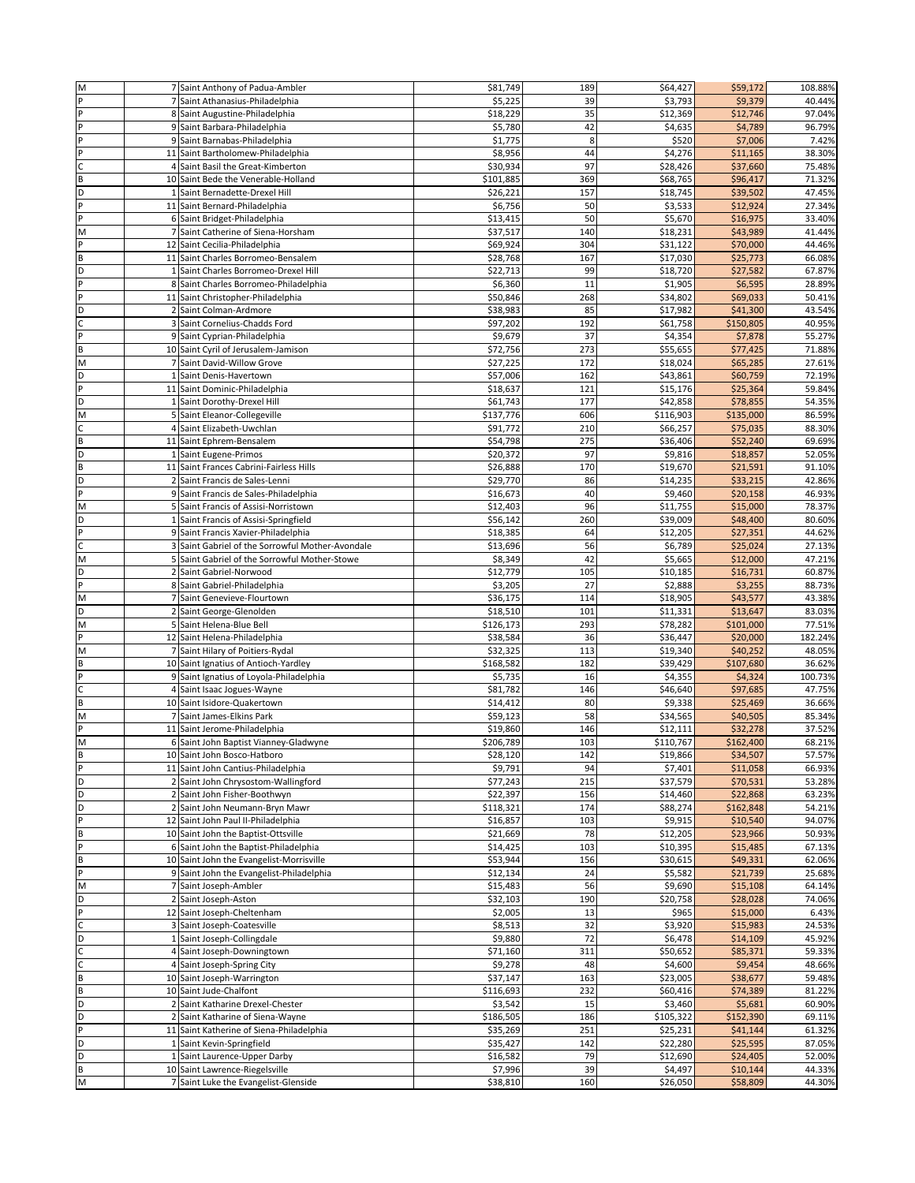| M            |   | 7 Saint Anthony of Padua-Ambler                                     | \$81,749             | 189       | \$64,427             | \$59,172             | 108.88%          |
|--------------|---|---------------------------------------------------------------------|----------------------|-----------|----------------------|----------------------|------------------|
| P            |   | 7 Saint Athanasius-Philadelphia                                     | \$5,225              | 39        | \$3,793              | \$9,379              | 40.44%           |
| P            |   | 8 Saint Augustine-Philadelphia                                      | \$18,229             | 35        | \$12,369             | \$12,746             | 97.04%           |
| P            |   | 9 Saint Barbara-Philadelphia                                        | \$5,780              | 42        | \$4,635              | \$4,789              | 96.79%           |
| P            |   | 9 Saint Barnabas-Philadelphia                                       | \$1,775              | 8         | \$520                | \$7,006              | 7.42%            |
| P            |   | 11 Saint Bartholomew-Philadelphia                                   | \$8,956              | 44        | \$4,276              | \$11,165             | 38.30%           |
| $\mathsf{C}$ |   | 4 Saint Basil the Great-Kimberton                                   | \$30,934             | 97        | \$28,426             | \$37,660             | 75.48%           |
| B            |   | 10 Saint Bede the Venerable-Holland                                 | \$101,885            | 369       | \$68,765             | \$96,417             | 71.32%           |
| D            |   | 1 Saint Bernadette-Drexel Hill                                      | \$26,221             | 157       | \$18,745             | \$39,502             | 47.45%           |
| P            |   | 11 Saint Bernard-Philadelphia                                       | \$6,756              | 50        | \$3,533              | \$12,924             | 27.34%           |
| p            |   |                                                                     |                      |           |                      |                      |                  |
|              |   | 6 Saint Bridget-Philadelphia                                        | \$13,415             | 50<br>140 | \$5,670              | \$16,975             | 33.40%           |
| M<br>P       |   | 7 Saint Catherine of Siena-Horsham<br>12 Saint Cecilia-Philadelphia | \$37,517<br>\$69,924 | 304       | \$18,231<br>\$31,122 | \$43,989<br>\$70,000 | 41.44%<br>44.46% |
|              |   | 11 Saint Charles Borromeo-Bensalem                                  |                      | 167       |                      |                      | 66.08%           |
| B<br>D       |   | 1 Saint Charles Borromeo-Drexel Hill                                | \$28,768<br>\$22,713 | 99        | \$17,030<br>\$18,720 | \$25,773<br>\$27,582 | 67.87%           |
| P            |   | 8 Saint Charles Borromeo-Philadelphia                               | \$6,360              | 11        | \$1,905              | \$6,595              | 28.89%           |
| P            |   | 11 Saint Christopher-Philadelphia                                   | \$50,846             | 268       | \$34,802             | \$69,033             | 50.41%           |
| D            |   | 2 Saint Colman-Ardmore                                              | \$38,983             | 85        | \$17,982             | \$41,300             | 43.54%           |
| $\mathsf{C}$ |   | 3 Saint Cornelius-Chadds Ford                                       | \$97,202             | 192       | \$61,758             | \$150,805            | 40.95%           |
| P            |   | 9 Saint Cyprian-Philadelphia                                        | \$9,679              | 37        | \$4,354              | \$7,878              | 55.27%           |
| B            |   | 10 Saint Cyril of Jerusalem-Jamison                                 | \$72,756             | 273       | \$55,655             | \$77,425             | 71.88%           |
| M            |   | 7 Saint David-Willow Grove                                          | \$27,225             | 172       | \$18,024             | \$65,285             | 27.61%           |
| D            |   | 1 Saint Denis-Havertown                                             | \$57,006             | 162       | \$43,861             | \$60,759             | 72.19%           |
| P            |   | 11 Saint Dominic-Philadelphia                                       | \$18,637             | 121       | \$15,176             | \$25,364             | 59.84%           |
| D            |   | 1 Saint Dorothy-Drexel Hill                                         | \$61,743             | 177       | \$42,858             | \$78,855             | 54.35%           |
| M            |   | 5 Saint Eleanor-Collegeville                                        | \$137,776            | 606       | \$116,903            | \$135,000            | 86.59%           |
|              |   | 4 Saint Elizabeth-Uwchlan                                           | \$91,772             | 210       | \$66,257             | \$75,035             | 88.30%           |
| $\sf{B}$     |   | 11 Saint Ephrem-Bensalem                                            | \$54,798             | 275       | \$36,406             | \$52,240             | 69.69%           |
| D            |   | 1 Saint Eugene-Primos                                               | \$20,372             | 97        | \$9,816              | \$18,857             | 52.05%           |
| B            |   | 11 Saint Frances Cabrini-Fairless Hills                             | \$26,888             | 170       | \$19,670             | \$21,591             | 91.10%           |
| D            |   | 2 Saint Francis de Sales-Lenni                                      | \$29,770             | 86        | \$14,235             | \$33,215             | 42.86%           |
| P            |   | 9 Saint Francis de Sales-Philadelphia                               | \$16,673             | 40        | \$9,460              | \$20,158             | 46.93%           |
| M            |   | 5 Saint Francis of Assisi-Norristown                                | \$12,403             | 96        | \$11,755             | \$15,000             | 78.37%           |
| D            |   | 1 Saint Francis of Assisi-Springfield                               | \$56,142             | 260       | \$39,009             | \$48,400             | 80.60%           |
| P            |   | 9 Saint Francis Xavier-Philadelphia                                 | \$18,385             | 64        | \$12,205             | \$27,351             | 44.62%           |
| C            |   | 3 Saint Gabriel of the Sorrowful Mother-Avondale                    | \$13,696             | 56        | \$6,789              | \$25,024             | 27.13%           |
| M            |   | 5 Saint Gabriel of the Sorrowful Mother-Stowe                       | \$8,349              | 42        | \$5,665              | \$12,000             | 47.21%           |
| D            |   | 2 Saint Gabriel-Norwood                                             | \$12,779             | 105       | \$10,185             | \$16,731             | 60.87%           |
| P            |   | 8 Saint Gabriel-Philadelphia                                        | \$3,205              | 27        | \$2,888              | \$3,255              | 88.73%           |
| M            | 7 | Saint Genevieve-Flourtown                                           | \$36,175             | 114       | \$18,905             | \$43,577             | 43.38%           |
| D            |   | 2 Saint George-Glenolden                                            | \$18,510             | 101       | \$11,331             | \$13,647             | 83.03%           |
| M            |   | 5 Saint Helena-Blue Bell                                            | \$126,173            | 293       | \$78,282             | \$101,000            | 77.51%           |
| P            |   | 12 Saint Helena-Philadelphia                                        | \$38,584             | 36        | \$36,447             | \$20,000             | 182.24%          |
| M            |   | 7 Saint Hilary of Poitiers-Rydal                                    | \$32,325             | 113       | \$19,340             | \$40,252             | 48.05%           |
| $\sf{B}$     |   | 10 Saint Ignatius of Antioch-Yardley                                | \$168,582            | 182       | \$39,429             | \$107,680            | 36.62%           |
| P            |   | 9 Saint Ignatius of Loyola-Philadelphia                             | \$5,735              | 16        | \$4,355              | \$4,324              | 100.73%          |
| $\mathsf{C}$ |   | 4 Saint Isaac Jogues-Wayne                                          | \$81,782             | 146       | \$46,640             | \$97,685             | 47.75%           |
| $\sf B$      |   | 10 Saint Isidore-Quakertown                                         | \$14,412             | 80        | \$9,338              | \$25,469             | 36.66%           |
| M            |   | 7 Saint James-Elkins Park                                           | \$59,123             | 58        | \$34,565             | \$40,505             | 85.34%           |
| P            |   | 11 Saint Jerome-Philadelphia                                        | \$19,860             | 146       | \$12,111             | \$32,278             | 37.52%           |
| M            |   | 6 Saint John Baptist Vianney-Gladwyne                               | \$206,789            | 103       | \$110,767            | \$162,400            | 68.21%           |
| B            |   | 10 Saint John Bosco-Hatboro                                         | \$28,120             | 142       | \$19,866             | \$34,507             | 57.57%           |
| P            |   | 11 Saint John Cantius-Philadelphia                                  | \$9,791              | 94        | \$7,401              | \$11,058             | 66.93%           |
| D            |   | 2 Saint John Chrysostom-Wallingford                                 | \$77,243             | 215       | \$37,579             | \$70,531             | 53.28%           |
| D            |   | 2 Saint John Fisher-Boothwyn                                        | \$22,397             | 156       | \$14,460             | \$22,868             | 63.23%           |
| D            |   | 2 Saint John Neumann-Bryn Mawr                                      | \$118,321            | 174       | \$88,274             | \$162,848            | 54.21%           |
| P            |   | 12 Saint John Paul II-Philadelphia                                  | \$16,857             | 103       | \$9,915              | \$10,540             | 94.07%           |
| B            |   | 10 Saint John the Baptist-Ottsville                                 | \$21,669             | 78        | \$12,205             | \$23,966             | 50.93%           |
| P            |   | 6 Saint John the Baptist-Philadelphia                               | \$14,425             | 103       | \$10,395             | \$15,485             | 67.13%           |
| B            |   | 10 Saint John the Evangelist-Morrisville                            | \$53,944             | 156       | \$30,615             | \$49,331             | 62.06%           |
| P            |   | 9 Saint John the Evangelist-Philadelphia                            | \$12,134             | 24        | \$5,582              | \$21,739             | 25.68%           |
| M            |   | 7 Saint Joseph-Ambler                                               | \$15,483             | 56        | \$9,690              | \$15,108             | 64.14%           |
| D            |   | 2 Saint Joseph-Aston                                                | \$32,103             | 190       | \$20,758             | \$28,028             | 74.06%           |
| P            |   | 12 Saint Joseph-Cheltenham                                          | \$2,005              | 13        | \$965                | \$15,000             | 6.43%            |
| $\mathsf{C}$ |   | 3 Saint Joseph-Coatesville                                          | \$8,513              | 32        | \$3,920              | \$15,983             | 24.53%           |
| D            |   | 1 Saint Joseph-Collingdale                                          | \$9,880              | 72        | \$6,478              | \$14,109             | 45.92%           |
| $\mathsf{C}$ |   | 4 Saint Joseph-Downingtown                                          | \$71,160             | 311       | \$50,652             | \$85,371             | 59.33%           |
| $\mathsf C$  |   | 4 Saint Joseph-Spring City                                          | \$9,278              | 48        | \$4,600              | \$9,454              | 48.66%           |
| B            |   | 10 Saint Joseph-Warrington                                          | \$37,147             | 163       | \$23,005             | \$38,677             | 59.48%           |
| B            |   | 10 Saint Jude-Chalfont                                              | \$116,693            | 232       | \$60,416             | \$74,389             | 81.22%           |
| D            |   | 2 Saint Katharine Drexel-Chester                                    | \$3,542              | 15        | \$3,460              | \$5,681              | 60.90%           |
| D            |   | 2 Saint Katharine of Siena-Wayne                                    | \$186,505            | 186       | \$105,322            | \$152,390            | 69.11%           |
| P            |   | 11 Saint Katherine of Siena-Philadelphia                            | \$35,269             | 251       | \$25,231             | \$41,144             | 61.32%           |
| D            |   | 1 Saint Kevin-Springfield                                           | \$35,427             | 142       | \$22,280             | \$25,595             | 87.05%           |
| D            |   | 1 Saint Laurence-Upper Darby                                        | \$16,582             | 79        | \$12,690             | \$24,405             | 52.00%           |
| B            |   | 10 Saint Lawrence-Riegelsville                                      | \$7,996              | 39        | \$4,497              | \$10,144             | 44.33%           |
| M            |   | 7 Saint Luke the Evangelist-Glenside                                | \$38,810             | 160       | \$26,050             | \$58,809             | 44.30%           |